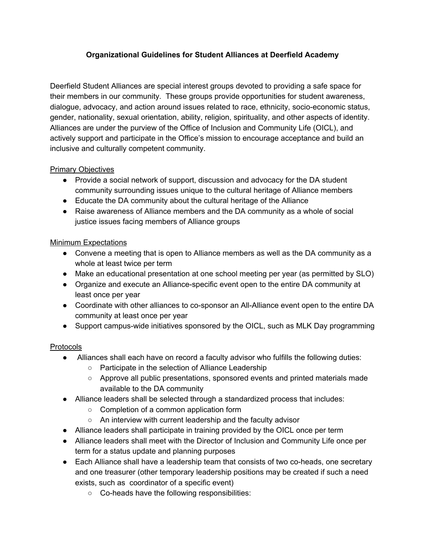## **Organizational Guidelines for Student Alliances at Deerfield Academy**

Deerfield Student Alliances are special interest groups devoted to providing a safe space for their members in our community. These groups provide opportunities for student awareness, dialogue, advocacy, and action around issues related to race, ethnicity, socio-economic status, gender, nationality, sexual orientation, ability, religion, spirituality, and other aspects of identity. Alliances are under the purview of the Office of Inclusion and Community Life (OICL), and actively support and participate in the Office's mission to encourage acceptance and build an inclusive and culturally competent community.

## Primary Objectives

- Provide a social network of support, discussion and advocacy for the DA student community surrounding issues unique to the cultural heritage of Alliance members
- Educate the DA community about the cultural heritage of the Alliance
- Raise awareness of Alliance members and the DA community as a whole of social justice issues facing members of Alliance groups

## Minimum Expectations

- Convene a meeting that is open to Alliance members as well as the DA community as a whole at least twice per term
- Make an educational presentation at one school meeting per year (as permitted by SLO)
- Organize and execute an Alliance-specific event open to the entire DA community at least once per year
- Coordinate with other alliances to co-sponsor an All-Alliance event open to the entire DA community at least once per year
- Support campus-wide initiatives sponsored by the OICL, such as MLK Day programming

## Protocols

- Alliances shall each have on record a faculty advisor who fulfills the following duties:
	- Participate in the selection of Alliance Leadership
	- Approve all public presentations, sponsored events and printed materials made available to the DA community
- Alliance leaders shall be selected through a standardized process that includes:
	- Completion of a common application form
	- An interview with current leadership and the faculty advisor
- Alliance leaders shall participate in training provided by the OICL once per term
- Alliance leaders shall meet with the Director of Inclusion and Community Life once per term for a status update and planning purposes
- Each Alliance shall have a leadership team that consists of two co-heads, one secretary and one treasurer (other temporary leadership positions may be created if such a need exists, such as coordinator of a specific event)
	- Co-heads have the following responsibilities: